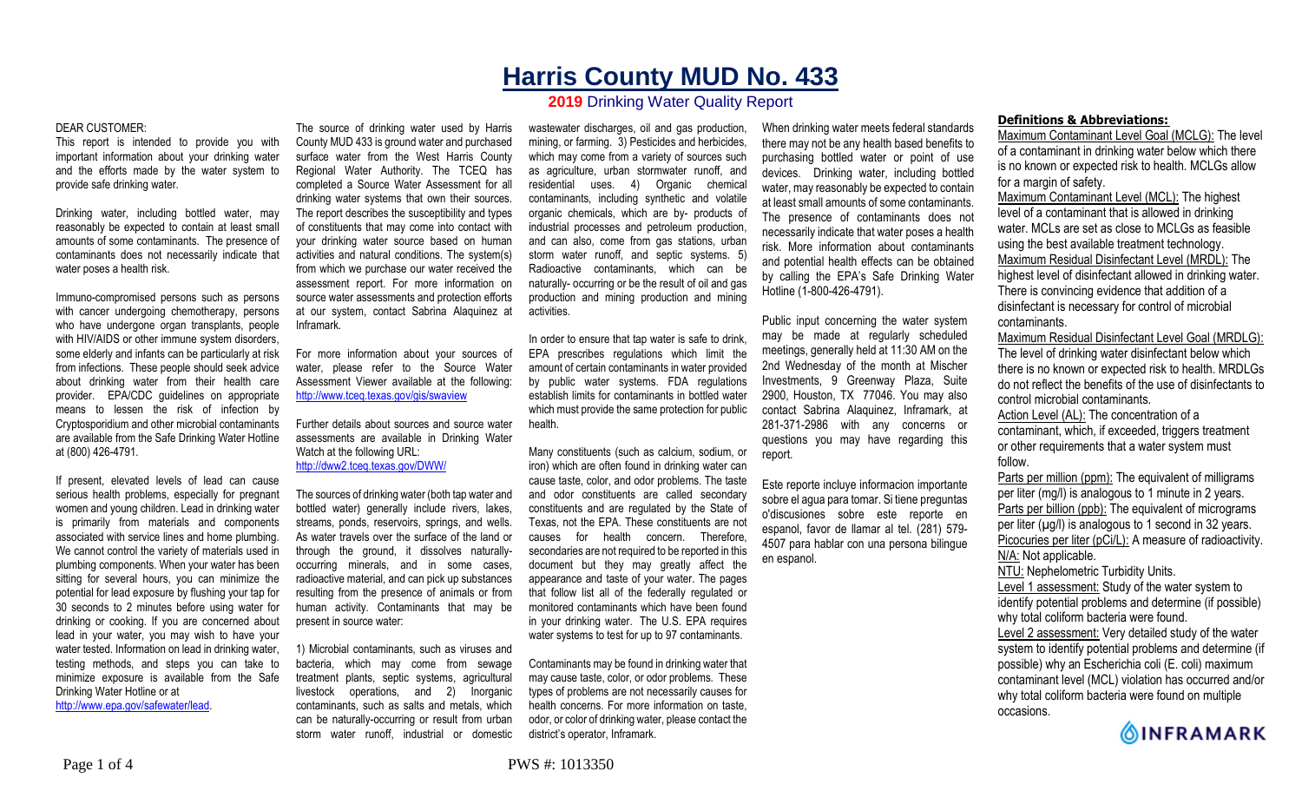# **Harris County MUD No. 433**

## **2019** Drinking Water Quality Report

#### DEAR CUSTOMER:

This report is intended to provide you with important information about your drinking water and the efforts made by the water system to provide safe drinking water.

Drinking water, including bottled water, may reasonably be expected to contain at least small amounts of some contaminants. The presence of contaminants does not necessarily indicate that water poses a health risk.

Immuno-compromised persons such as persons with cancer undergoing chemotherapy, persons who have undergone organ transplants, people with HIV/AIDS or other immune system disorders, some elderly and infants can be particularly at risk from infections. These people should seek advice about drinking water from their health care provider. EPA/CDC guidelines on appropriate means to lessen the risk of infection by Cryptosporidium and other microbial contaminants are available from the Safe Drinking Water Hotline at (800) 426-4791.

If present, elevated levels of lead can cause serious health problems, especially for pregnant women and young children. Lead in drinking water is primarily from materials and components associated with service lines and home plumbing. We cannot control the variety of materials used in plumbing components. When your water has been sitting for several hours, you can minimize the potential for lead exposure by flushing your tap for 30 seconds to 2 minutes before using water for drinking or cooking. If you are concerned about lead in your water, you may wish to have your water tested. Information on lead in drinking water, testing methods, and steps you can take to minimize exposure is available from the Safe Drinking Water Hotline or at http://www.epa.gov/safewater/lead.

The source of drinking water used by Harris County MUD 433 is ground water and purchased surface water from the West Harris County Regional Water Authority. The TCEQ has completed a Source Water Assessment for all drinking water systems that own their sources. The report describes the susceptibility and types of constituents that may come into contact with your drinking water source based on human activities and natural conditions. The system(s) from which we purchase our water received the assessment report. For more information on source water assessments and protection efforts at our system, contact Sabrina Alaquinez at Inframark.

For more information about your sources of water, please refer to the Source Water Assessment Viewer available at the following: http://www.tceq.texas.gov/gis/swaview

Further details about sources and source water assessments are available in Drinking Water Watch at the following URL: http://dww2.tceq.texas.gov/DWW/

The sources of drinking water (both tap water and bottled water) generally include rivers, lakes, streams, ponds, reservoirs, springs, and wells. As water travels over the surface of the land or through the ground, it dissolves naturallyoccurring minerals, and in some cases, radioactive material, and can pick up substances resulting from the presence of animals or from human activity. Contaminants that may be present in source water:

1) Microbial contaminants, such as viruses and bacteria, which may come from sewage treatment plants, septic systems, agricultural livestock operations, and 2) Inorganic contaminants, such as salts and metals, which can be naturally-occurring or result from urban storm water runoff, industrial or domestic

wastewater discharges, oil and gas production, mining, or farming. 3) Pesticides and herbicides, which may come from a variety of sources such as agriculture, urban stormwater runoff, and residential uses. 4) Organic chemical contaminants, including synthetic and volatile organic chemicals, which are by- products of industrial processes and petroleum production, and can also, come from gas stations, urban storm water runoff, and septic systems. 5) Radioactive contaminants, which can be naturally- occurring or be the result of oil and gas production and mining production and mining activities.

In order to ensure that tap water is safe to drink, EPA prescribes regulations which limit the amount of certain contaminants in water provided by public water systems. FDA regulations establish limits for contaminants in bottled water which must provide the same protection for public health.

Many constituents (such as calcium, sodium, or iron) which are often found in drinking water can cause taste, color, and odor problems. The taste and odor constituents are called secondary constituents and are regulated by the State of Texas, not the EPA. These constituents are not causes for health concern. Therefore, secondaries are not required to be reported in this document but they may greatly affect the appearance and taste of your water. The pages that follow list all of the federally regulated or monitored contaminants which have been found in your drinking water. The U.S. EPA requires water systems to test for up to 97 contaminants.

Contaminants may be found in drinking water that may cause taste, color, or odor problems. These types of problems are not necessarily causes for health concerns. For more information on taste, odor, or color of drinking water, please contact the district's operator, Inframark.

When drinking water meets federal standards there may not be any health based benefits to purchasing bottled water or point of use devices. Drinking water, including bottled water, may reasonably be expected to contain at least small amounts of some contaminants. The presence of contaminants does not necessarily indicate that water poses a health risk. More information about contaminants and potential health effects can be obtained by calling the EPA's Safe Drinking Water Hotline (1-800-426-4791).

Public input concerning the water system may be made at regularly scheduled meetings, generally held at 11:30 AM on the 2nd Wednesday of the month at Mischer Investments, 9 Greenway Plaza, Suite 2900, Houston, TX 77046. You may also contact Sabrina Alaquinez, Inframark, at 281-371-2986 with any concerns or questions you may have regarding this report.

Este reporte incluye informacion importante sobre el agua para tomar. Si tiene preguntas o'discusiones sobre este reporte en espanol, favor de llamar al tel. (281) 579- 4507 para hablar con una persona bilingue en espanol.

### **Definitions & Abbreviations:**

Maximum Contaminant Level Goal (MCLG): The level of a contaminant in drinking water below which there is no known or expected risk to health. MCLGs allow for a margin of safety.

Maximum Contaminant Level (MCL): The highest level of a contaminant that is allowed in drinking water. MCLs are set as close to MCLGs as feasible using the best available treatment technology. Maximum Residual Disinfectant Level (MRDL): The highest level of disinfectant allowed in drinking water. There is convincing evidence that addition of a disinfectant is necessary for control of microbial contaminants.

Maximum Residual Disinfectant Level Goal (MRDLG): The level of drinking water disinfectant below which there is no known or expected risk to health. MRDLGs do not reflect the benefits of the use of disinfectants to control microbial contaminants.

Action Level (AL): The concentration of a contaminant, which, if exceeded, triggers treatment or other requirements that a water system must follow.

Parts per million (ppm): The equivalent of milligrams per liter (mg/l) is analogous to 1 minute in 2 years. Parts per billion (ppb): The equivalent of micrograms per liter  $(\mu g/l)$  is analogous to 1 second in 32 years. Picocuries per liter (pCi/L): A measure of radioactivity. N/A: Not applicable. NTU: Nephelometric Turbidity Units.

Level 1 assessment: Study of the water system to identify potential problems and determine (if possible) why total coliform bacteria were found. Level 2 assessment: Very detailed study of the water system to identify potential problems and determine (if possible) why an Escherichia coli (E. coli) maximum contaminant level (MCL) violation has occurred and/or

why total coliform bacteria were found on multiple occasions.

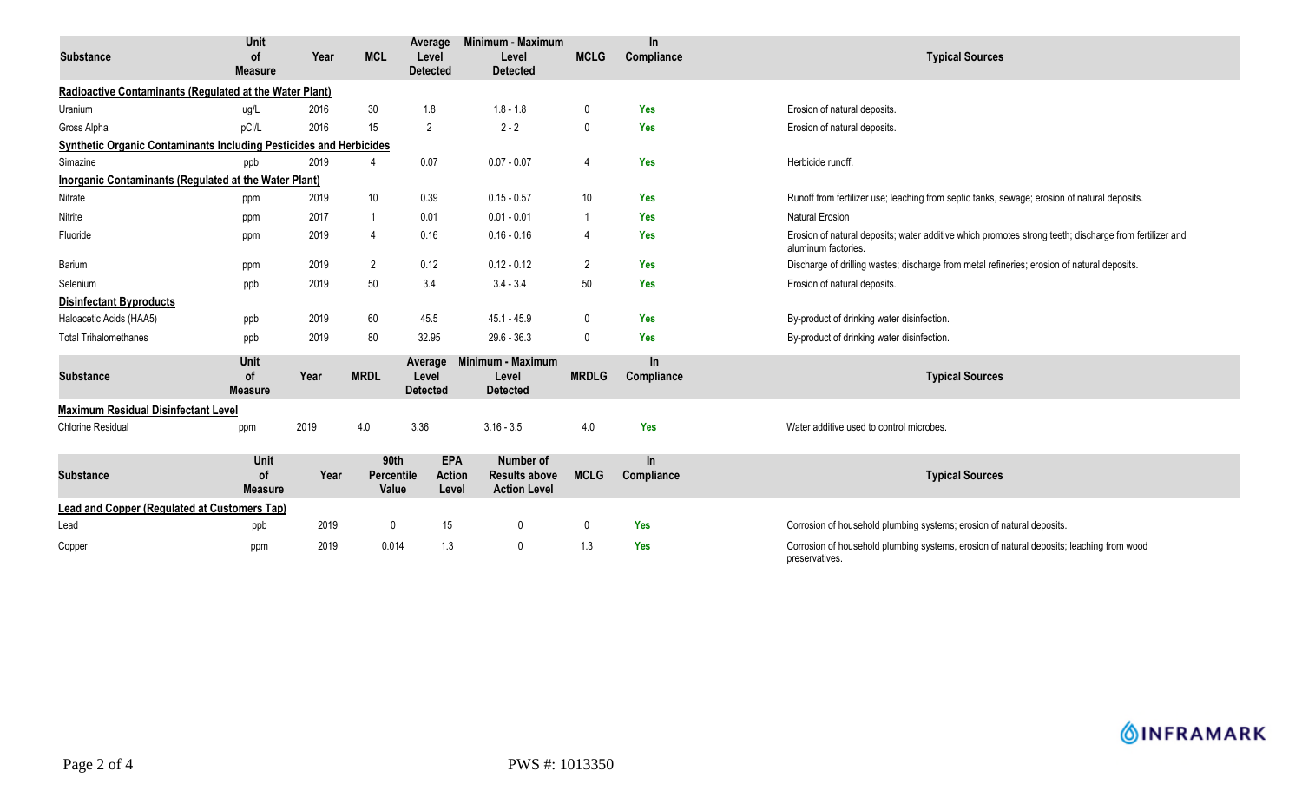| <b>Substance</b>                                                   | <b>Unit</b><br><b>of</b>     | Year | <b>MCL</b>                         | Average<br>Level                     | Minimum - Maximum<br>Level                               | <b>MCLG</b>     | $\ln$<br>Compliance | <b>Typical Sources</b>                                                                                                        |
|--------------------------------------------------------------------|------------------------------|------|------------------------------------|--------------------------------------|----------------------------------------------------------|-----------------|---------------------|-------------------------------------------------------------------------------------------------------------------------------|
|                                                                    | <b>Measure</b>               |      |                                    | <b>Detected</b>                      | <b>Detected</b>                                          |                 |                     |                                                                                                                               |
| Radioactive Contaminants (Regulated at the Water Plant)            |                              |      |                                    |                                      |                                                          |                 |                     |                                                                                                                               |
| Uranium                                                            | ug/L                         | 2016 | 30                                 | 1.8                                  | $1.8 - 1.8$                                              | 0               | Yes                 | Erosion of natural deposits.                                                                                                  |
| Gross Alpha                                                        | pCi/L                        | 2016 | 15                                 | 2                                    | $2 - 2$                                                  | $\mathbf{0}$    | Yes                 | Erosion of natural deposits.                                                                                                  |
| Synthetic Organic Contaminants Including Pesticides and Herbicides |                              |      |                                    |                                      |                                                          |                 |                     |                                                                                                                               |
| Simazine                                                           | ppb                          | 2019 | $\overline{4}$                     | 0.07                                 | $0.07 - 0.07$                                            | $\overline{4}$  | Yes                 | Herbicide runoff.                                                                                                             |
| Inorganic Contaminants (Regulated at the Water Plant)              |                              |      |                                    |                                      |                                                          |                 |                     |                                                                                                                               |
| Nitrate                                                            | ppm                          | 2019 | 10 <sup>°</sup>                    | 0.39                                 | $0.15 - 0.57$                                            | 10 <sup>°</sup> | Yes                 | Runoff from fertilizer use; leaching from septic tanks, sewage; erosion of natural deposits.                                  |
| Nitrite                                                            | ppm                          | 2017 | $\mathbf{1}$                       | 0.01                                 | $0.01 - 0.01$                                            | -1              | <b>Yes</b>          | <b>Natural Erosion</b>                                                                                                        |
| Fluoride                                                           | ppm                          | 2019 | $\overline{4}$                     | 0.16                                 | $0.16 - 0.16$                                            | 4               | Yes                 | Erosion of natural deposits; water additive which promotes strong teeth; discharge from fertilizer and<br>aluminum factories. |
| Barium                                                             | ppm                          | 2019 | 2                                  | 0.12                                 | $0.12 - 0.12$                                            | 2               | Yes                 | Discharge of drilling wastes; discharge from metal refineries; erosion of natural deposits.                                   |
| Selenium                                                           | ppb                          | 2019 | 50                                 | 3.4                                  | $3.4 - 3.4$                                              | 50              | Yes                 | Erosion of natural deposits.                                                                                                  |
| <b>Disinfectant Byproducts</b>                                     |                              |      |                                    |                                      |                                                          |                 |                     |                                                                                                                               |
| Haloacetic Acids (HAA5)                                            | ppb                          | 2019 | 60                                 | 45.5                                 | $45.1 - 45.9$                                            | $\mathbf 0$     | Yes                 | By-product of drinking water disinfection.                                                                                    |
| <b>Total Trihalomethanes</b>                                       | ppb                          | 2019 | 80                                 | 32.95                                | $29.6 - 36.3$                                            | $\mathbf 0$     | Yes                 | By-product of drinking water disinfection.                                                                                    |
| <b>Substance</b>                                                   | Unit<br>of<br><b>Measure</b> | Year | <b>MRDL</b>                        | Average<br>Level<br><b>Detected</b>  | Minimum - Maximum<br>Level<br><b>Detected</b>            | <b>MRDLG</b>    | In.<br>Compliance   | <b>Typical Sources</b>                                                                                                        |
| <b>Maximum Residual Disinfectant Level</b>                         |                              |      |                                    |                                      |                                                          |                 |                     |                                                                                                                               |
| Chlorine Residual                                                  | ppm                          | 2019 | 4.0                                | 3.36                                 | $3.16 - 3.5$                                             | 4.0             | Yes                 | Water additive used to control microbes.                                                                                      |
| <b>Substance</b>                                                   | Unit<br>of<br><b>Measure</b> | Year | <b>90th</b><br>Percentile<br>Value | <b>EPA</b><br><b>Action</b><br>Level | Number of<br><b>Results above</b><br><b>Action Level</b> | <b>MCLG</b>     | $\ln$<br>Compliance | <b>Typical Sources</b>                                                                                                        |
| <b>Lead and Copper (Regulated at Customers Tap)</b>                |                              |      |                                    |                                      |                                                          |                 |                     |                                                                                                                               |
| Lead                                                               | ppb                          | 2019 | $\mathbf 0$                        | 15                                   | $\mathbf 0$                                              | $\mathbf 0$     | <b>Yes</b>          | Corrosion of household plumbing systems; erosion of natural deposits.                                                         |
| Copper                                                             | ppm                          | 2019 | 0.014                              | 1.3                                  | $\mathbf 0$                                              | 1.3             | <b>Yes</b>          | Corrosion of household plumbing systems, erosion of natural deposits; leaching from wood<br>preservatives.                    |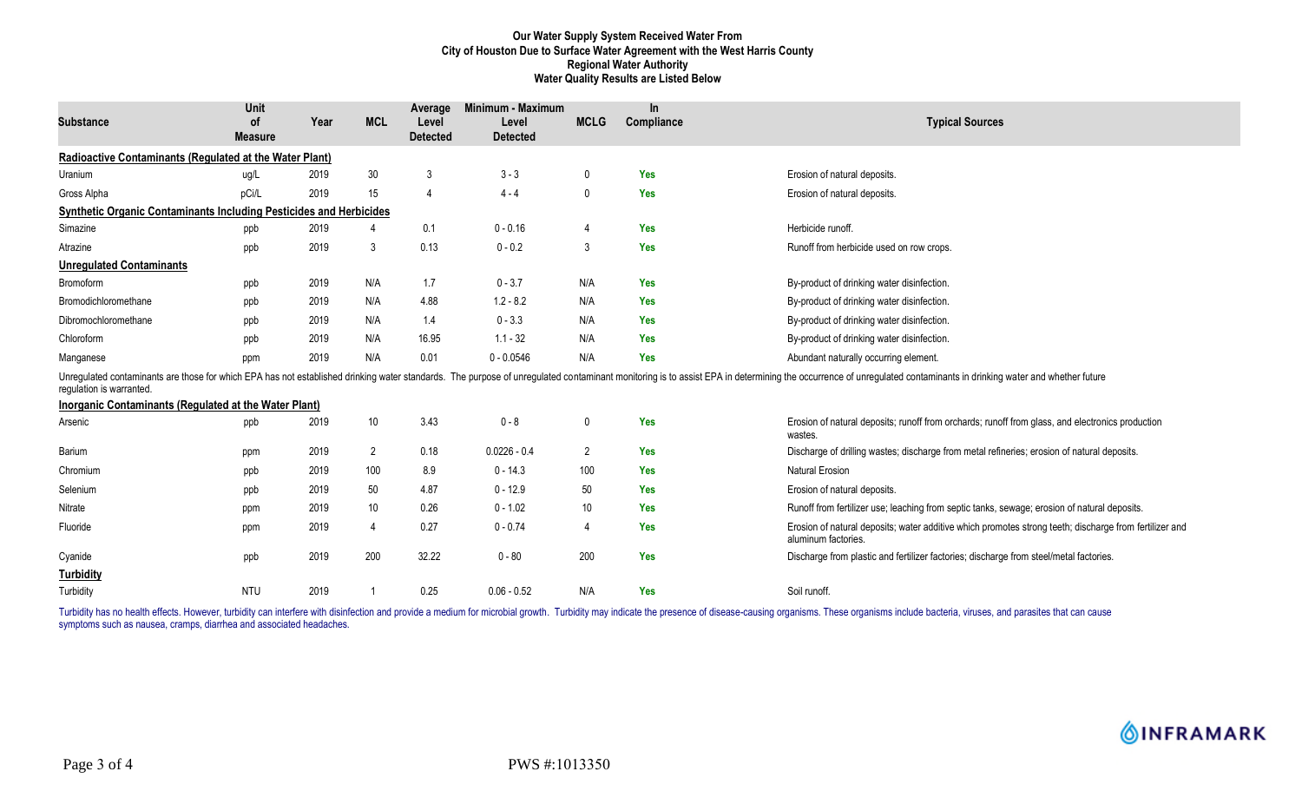#### **Our Water Supply System Received Water From City of Houston Due to Surface Water Agreement with the West Harris County Regional Water Authority Water Quality Results are Listed Below**

| <b>Substance</b>                                                          | Unit<br><b>of</b><br><b>Measure</b> | Year | <b>MCL</b>      | Average<br>Level<br><b>Detected</b> | Minimum - Maximum<br>Level<br><b>Detected</b> | <b>MCLG</b>    | In.<br>Compliance | <b>Typical Sources</b>                                                                                                                                                                                                         |
|---------------------------------------------------------------------------|-------------------------------------|------|-----------------|-------------------------------------|-----------------------------------------------|----------------|-------------------|--------------------------------------------------------------------------------------------------------------------------------------------------------------------------------------------------------------------------------|
| Radioactive Contaminants (Regulated at the Water Plant)                   |                                     |      |                 |                                     |                                               |                |                   |                                                                                                                                                                                                                                |
| Uranium                                                                   | ug/L                                | 2019 | 30              | 3                                   | $3 - 3$                                       | 0              | Yes               | Erosion of natural deposits.                                                                                                                                                                                                   |
| Gross Alpha                                                               | pCi/L                               | 2019 | 15              | $\overline{4}$                      | $4 - 4$                                       | $\mathbf{0}$   | <b>Yes</b>        | Erosion of natural deposits.                                                                                                                                                                                                   |
| <b>Synthetic Organic Contaminants Including Pesticides and Herbicides</b> |                                     |      |                 |                                     |                                               |                |                   |                                                                                                                                                                                                                                |
| Simazine                                                                  | ppb                                 | 2019 | Δ               | 0.1                                 | $0 - 0.16$                                    | 4              | Yes               | Herbicide runoff.                                                                                                                                                                                                              |
| Atrazine                                                                  | ppb                                 | 2019 | 3               | 0.13                                | $0 - 0.2$                                     | 3              | <b>Yes</b>        | Runoff from herbicide used on row crops.                                                                                                                                                                                       |
| <b>Unregulated Contaminants</b>                                           |                                     |      |                 |                                     |                                               |                |                   |                                                                                                                                                                                                                                |
| Bromoform                                                                 | ppb                                 | 2019 | N/A             | 1.7                                 | $0 - 3.7$                                     | N/A            | <b>Yes</b>        | By-product of drinking water disinfection.                                                                                                                                                                                     |
| Bromodichloromethane                                                      | ppb                                 | 2019 | N/A             | 4.88                                | $1.2 - 8.2$                                   | N/A            | <b>Yes</b>        | By-product of drinking water disinfection.                                                                                                                                                                                     |
| Dibromochloromethane                                                      | ppb                                 | 2019 | N/A             | 1.4                                 | $0 - 3.3$                                     | N/A            | <b>Yes</b>        | By-product of drinking water disinfection.                                                                                                                                                                                     |
| Chloroform                                                                | ppb                                 | 2019 | N/A             | 16.95                               | $1.1 - 32$                                    | N/A            | <b>Yes</b>        | By-product of drinking water disinfection.                                                                                                                                                                                     |
| Manganese                                                                 | ppm                                 | 2019 | N/A             | 0.01                                | $0 - 0.0546$                                  | N/A            | <b>Yes</b>        | Abundant naturally occurring element.                                                                                                                                                                                          |
| requlation is warranted.                                                  |                                     |      |                 |                                     |                                               |                |                   | Unregulated contaminants are those for which EPA has not established drinking water standards. The purpose of unregulated contaminant monitoring is to assist EPA in determining the occurrence of unregulated contaminants in |
| Inorganic Contaminants (Regulated at the Water Plant)                     |                                     |      |                 |                                     |                                               |                |                   |                                                                                                                                                                                                                                |
| Arsenic                                                                   | ppb                                 | 2019 | $10\,$          | 3.43                                | $0 - 8$                                       | 0              | <b>Yes</b>        | Erosion of natural deposits; runoff from orchards; runoff from glass, and electronics production<br>wastes.                                                                                                                    |
| Barium                                                                    | ppm                                 | 2019 | $\overline{2}$  | 0.18                                | $0.0226 - 0.4$                                | $\overline{2}$ | <b>Yes</b>        | Discharge of drilling wastes; discharge from metal refineries; erosion of natural deposits.                                                                                                                                    |
| Chromium                                                                  | ppb                                 | 2019 | 100             | 8.9                                 | $0 - 14.3$                                    | 100            | Yes               | <b>Natural Erosion</b>                                                                                                                                                                                                         |
| Selenium                                                                  | ppb                                 | 2019 | 50              | 4.87                                | $0 - 12.9$                                    | 50             | <b>Yes</b>        | Erosion of natural deposits.                                                                                                                                                                                                   |
| Nitrate                                                                   | ppm                                 | 2019 | 10 <sup>°</sup> | 0.26                                | $0 - 1.02$                                    | 10             | Yes               | Runoff from fertilizer use; leaching from septic tanks, sewage; erosion of natural deposits.                                                                                                                                   |
| Fluoride                                                                  | ppm                                 | 2019 | $\overline{4}$  | 0.27                                | $0 - 0.74$                                    | 4              | <b>Yes</b>        | Erosion of natural deposits; water additive which promotes strong teeth; discharge from fertilizer and<br>aluminum factories.                                                                                                  |
| Cyanide                                                                   | ppb                                 | 2019 | 200             | 32.22                               | $0 - 80$                                      | 200            | <b>Yes</b>        | Discharge from plastic and fertilizer factories; discharge from steel/metal factories.                                                                                                                                         |
| <b>Turbidity</b>                                                          |                                     |      |                 |                                     |                                               |                |                   |                                                                                                                                                                                                                                |
| Turbidity                                                                 | <b>NTU</b>                          | 2019 |                 | 0.25                                | $0.06 - 0.52$                                 | N/A            | Yes               | Soil runoff.                                                                                                                                                                                                                   |

Turbidity has no health effects. However, turbidity can interfere with disinfection and provide a medium for microbial growth. Turbidity may indicate the presence of disease-causing organisms. These organisms include bacte symptoms such as nausea, cramps, diarrhea and associated headaches.